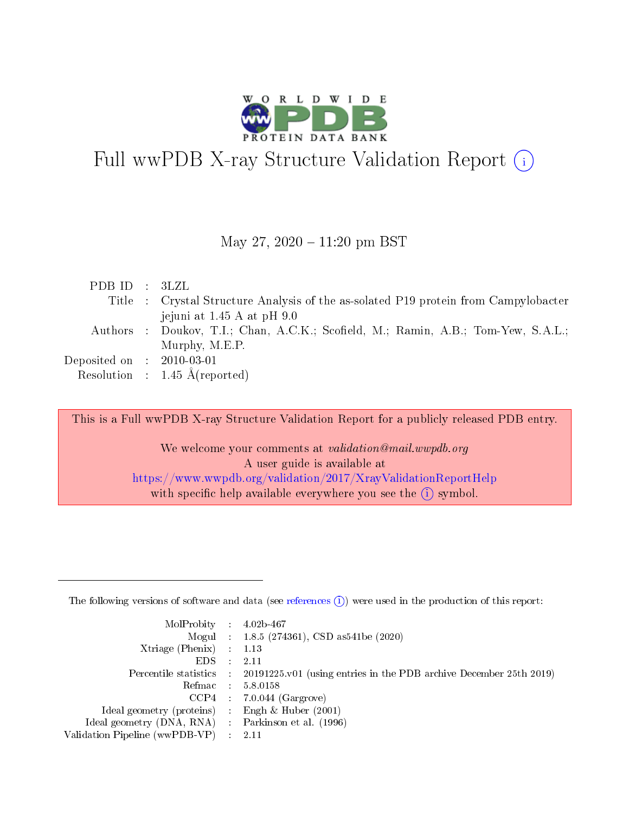

# Full wwPDB X-ray Structure Validation Report  $(i)$

### May 27,  $2020 - 11:20$  pm BST

| PDBID : 3LZL                         |                                                                                     |
|--------------------------------------|-------------------------------------------------------------------------------------|
|                                      | Title : Crystal Structure Analysis of the as-solated P19 protein from Campylobacter |
|                                      | jejuni at 1.45 A at pH 9.0                                                          |
|                                      | Authors : Doukov, T.I.; Chan, A.C.K.; Scofield, M.; Ramin, A.B.; Tom-Yew, S.A.L.;   |
|                                      | Murphy, M.E.P.                                                                      |
| Deposited on $\therefore$ 2010-03-01 |                                                                                     |
|                                      | Resolution : $1.45 \text{ Å}$ (reported)                                            |

This is a Full wwPDB X-ray Structure Validation Report for a publicly released PDB entry.

We welcome your comments at validation@mail.wwpdb.org A user guide is available at <https://www.wwpdb.org/validation/2017/XrayValidationReportHelp> with specific help available everywhere you see the  $(i)$  symbol.

The following versions of software and data (see [references](https://www.wwpdb.org/validation/2017/XrayValidationReportHelp#references)  $(1)$ ) were used in the production of this report:

| $MolProbability$ 4.02b-467                          |               |                                                                                            |
|-----------------------------------------------------|---------------|--------------------------------------------------------------------------------------------|
|                                                     |               | Mogul : $1.8.5$ (274361), CSD as 541be (2020)                                              |
| Xtriage (Phenix) $: 1.13$                           |               |                                                                                            |
| EDS.                                                | $\mathcal{L}$ | -2.11                                                                                      |
|                                                     |               | Percentile statistics : 20191225.v01 (using entries in the PDB archive December 25th 2019) |
|                                                     |               | Refmac $5.8.0158$                                                                          |
| CCP4                                                |               | $7.0.044$ (Gargrove)                                                                       |
| Ideal geometry (proteins)                           | $\sim$        | Engh $\&$ Huber (2001)                                                                     |
| Ideal geometry (DNA, RNA) : Parkinson et al. (1996) |               |                                                                                            |
| Validation Pipeline (wwPDB-VP) : 2.11               |               |                                                                                            |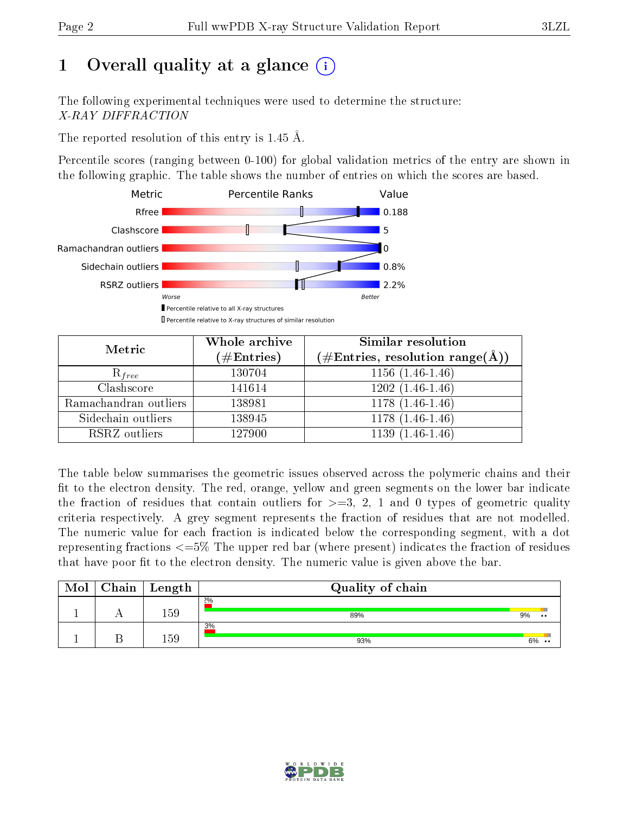# 1 [O](https://www.wwpdb.org/validation/2017/XrayValidationReportHelp#overall_quality)verall quality at a glance  $(i)$

The following experimental techniques were used to determine the structure: X-RAY DIFFRACTION

The reported resolution of this entry is 1.45 Å.

Percentile scores (ranging between 0-100) for global validation metrics of the entry are shown in the following graphic. The table shows the number of entries on which the scores are based.



| Metric                | Whole archive<br>$(\#\mathrm{Entries})$ | <b>Similar resolution</b><br>$(\#\text{Entries}, \text{resolution range}(\text{\AA}))$ |  |  |
|-----------------------|-----------------------------------------|----------------------------------------------------------------------------------------|--|--|
| $R_{free}$            | 130704                                  | $1156(1.46-1.46)$                                                                      |  |  |
| Clashscore            | 141614                                  | $1202(1.46-1.46)$                                                                      |  |  |
| Ramachandran outliers | 138981                                  | $1178(1.46-1.46)$                                                                      |  |  |
| Sidechain outliers    | 138945                                  | $1178(1.46-1.46)$                                                                      |  |  |
| RSRZ outliers         | 127900                                  | $1139(1.46-1.46)$                                                                      |  |  |

The table below summarises the geometric issues observed across the polymeric chains and their fit to the electron density. The red, orange, yellow and green segments on the lower bar indicate the fraction of residues that contain outliers for  $>=3, 2, 1$  and 0 types of geometric quality criteria respectively. A grey segment represents the fraction of residues that are not modelled. The numeric value for each fraction is indicated below the corresponding segment, with a dot representing fractions  $\epsilon=5\%$  The upper red bar (where present) indicates the fraction of residues that have poor fit to the electron density. The numeric value is given above the bar.

| Mol | Chain | $\perp$ Length | Quality of chain |                            |
|-----|-------|----------------|------------------|----------------------------|
|     |       | 159            | 2%<br>89%        | 9%<br>$\bullet\bullet$     |
|     |       | 159            | 3%<br>93%        | 6%<br>$\ddot{\phantom{0}}$ |

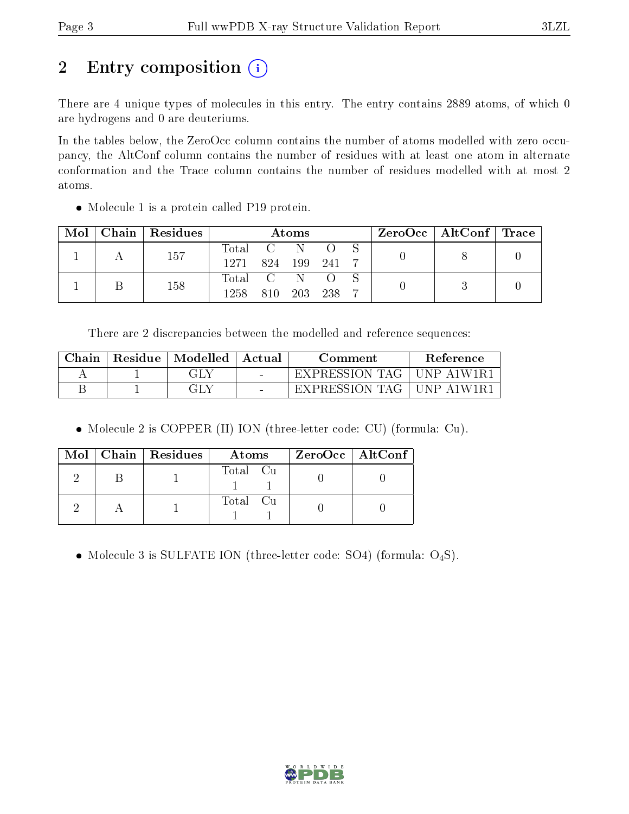# 2 Entry composition (i)

There are 4 unique types of molecules in this entry. The entry contains 2889 atoms, of which 0 are hydrogens and 0 are deuteriums.

In the tables below, the ZeroOcc column contains the number of atoms modelled with zero occupancy, the AltConf column contains the number of residues with at least one atom in alternate conformation and the Trace column contains the number of residues modelled with at most 2 atoms.

• Molecule 1 is a protein called P19 protein.

| Mol |     | Chain   Residues | Atoms                                                    |            |       |  |  | $\text{ZeroOcc}$   AltConf   Trace |  |
|-----|-----|------------------|----------------------------------------------------------|------------|-------|--|--|------------------------------------|--|
|     |     | 157              | $\begin{array}{ccc} \text{Total} & \text{C} \end{array}$ |            |       |  |  |                                    |  |
|     |     | 1271             | 824                                                      | 199        | - 241 |  |  |                                    |  |
|     |     |                  | Total C                                                  |            |       |  |  |                                    |  |
|     | 158 | 1258             | 810-                                                     | <b>203</b> | 238   |  |  |                                    |  |

There are 2 discrepancies between the modelled and reference sequences:

| ${\rm Chain}$ | Residue | Modelled | Actual | Comment        | Reference   |  |
|---------------|---------|----------|--------|----------------|-------------|--|
|               |         | GLY      | $\sim$ | EXPRESSION TAG | -UNP-A1W1R) |  |
|               |         | GLY      | $\sim$ | EXPRESSION TAG | TINP A1W1R1 |  |

Molecule 2 is COPPER (II) ION (three-letter code: CU) (formula: Cu).

|  | $Mol$   Chain   Residues | Atoms    | $ZeroOcc \   \ AltConf \  $ |
|--|--------------------------|----------|-----------------------------|
|  |                          | Total Cu |                             |
|  |                          | Total Cu |                             |

• Molecule 3 is SULFATE ION (three-letter code: SO4) (formula:  $O_4S$ ).

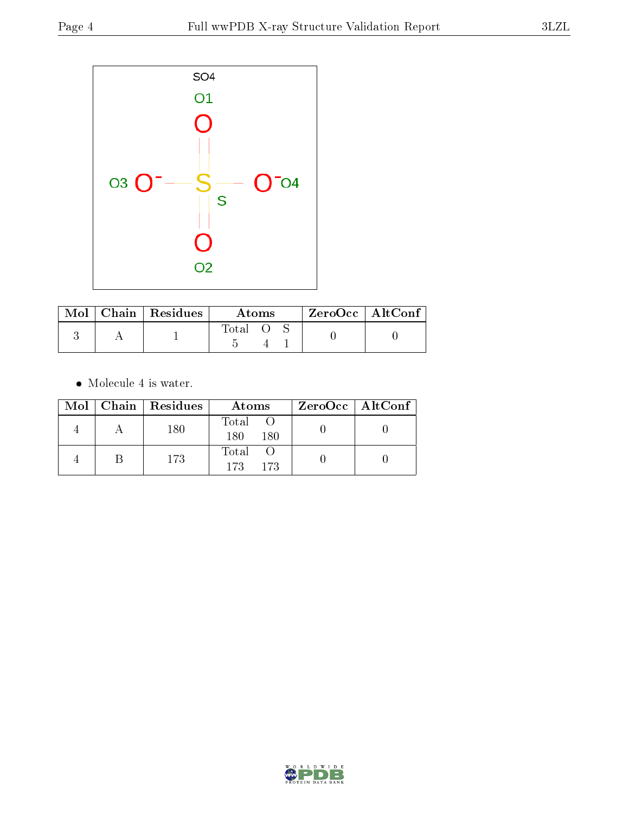

|  | Mol   Chain   Residues | Atoms |  |  | $ZeroOcc$   AltConf |  |
|--|------------------------|-------|--|--|---------------------|--|
|  |                        | Total |  |  |                     |  |

 $\bullet\,$  Molecule 4 is water.

|  | Mol   Chain   Residues | Atoms                | $ZeroOcc \   \ AltConf \  $ |
|--|------------------------|----------------------|-----------------------------|
|  | 180                    | Total<br>180<br>180  |                             |
|  | 173                    | Total<br>-173<br>173 |                             |

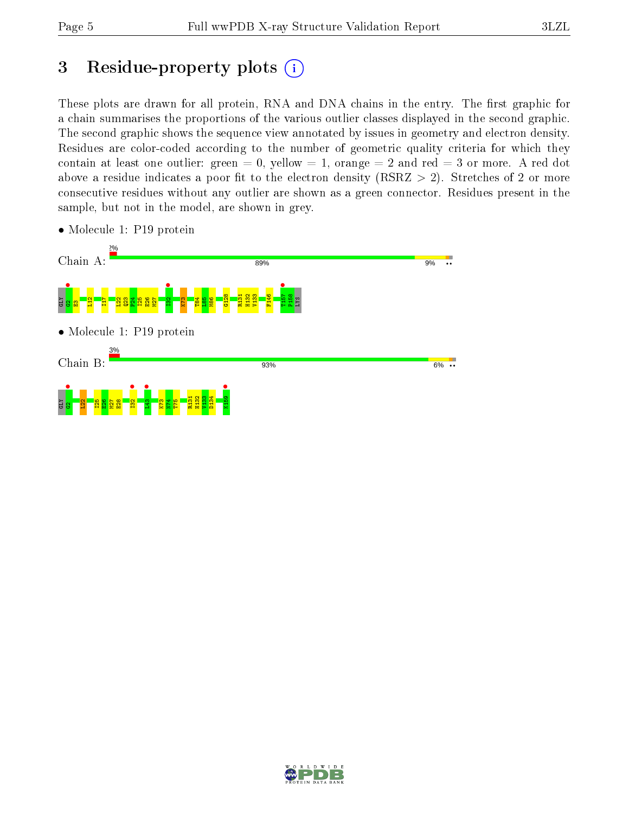# 3 Residue-property plots  $(i)$

These plots are drawn for all protein, RNA and DNA chains in the entry. The first graphic for a chain summarises the proportions of the various outlier classes displayed in the second graphic. The second graphic shows the sequence view annotated by issues in geometry and electron density. Residues are color-coded according to the number of geometric quality criteria for which they contain at least one outlier: green  $= 0$ , yellow  $= 1$ , orange  $= 2$  and red  $= 3$  or more. A red dot above a residue indicates a poor fit to the electron density (RSRZ  $> 2$ ). Stretches of 2 or more consecutive residues without any outlier are shown as a green connector. Residues present in the sample, but not in the model, are shown in grey.



• Molecule 1: P19 protein

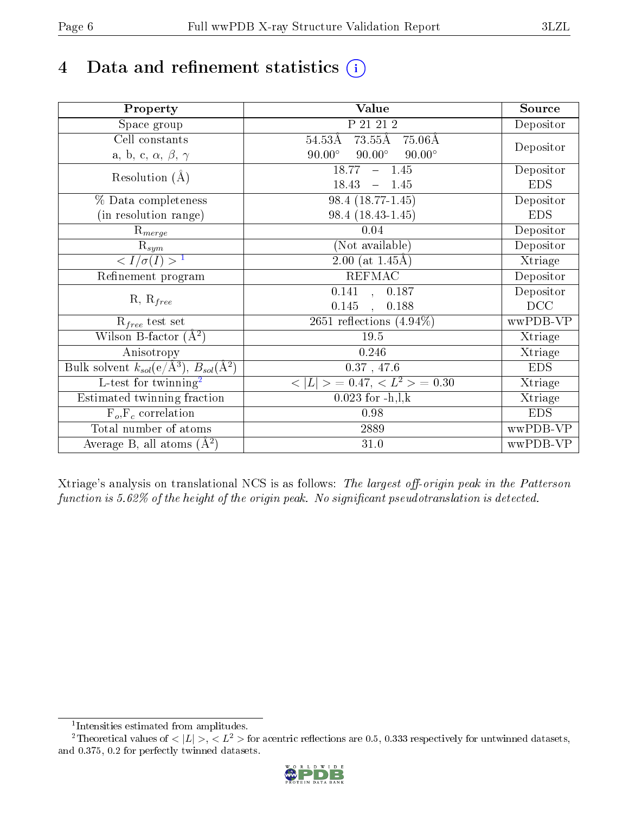# 4 Data and refinement statistics  $(i)$

| Property                                                             | Value                                              | Source     |
|----------------------------------------------------------------------|----------------------------------------------------|------------|
| Space group                                                          | P 21 21 2                                          | Depositor  |
| Cell constants                                                       | $73.55\text{\AA}$<br>$54.53\text{\AA}$<br>- 75.06Å |            |
| a, b, c, $\alpha$ , $\beta$ , $\gamma$                               | $90.00^\circ$<br>$90.00^\circ$<br>$90.00^\circ$    | Depositor  |
| Resolution $(A)$                                                     | 18.77<br>$-1.45$                                   | Depositor  |
|                                                                      | 18.43<br>$-1.45$                                   | <b>EDS</b> |
| % Data completeness                                                  | 98.4 (18.77-1.45)                                  | Depositor  |
| (in resolution range)                                                | 98.4 (18.43-1.45)                                  | <b>EDS</b> |
| $\mathrm{R}_{merge}$                                                 | 0.04                                               | Depositor  |
| $\mathrm{R}_{sym}$                                                   | (Not available)                                    | Depositor  |
| $\sqrt{I/\sigma(I)} > 1$                                             | $\overline{2.00}$ (at 1.45Å)                       | Xtriage    |
| Refinement program                                                   | <b>REFMAC</b>                                      | Depositor  |
|                                                                      | $\overline{0.141}$ ,<br>0.187                      | Depositor  |
| $R, R_{free}$                                                        | 0.145<br>0.188<br>$\ddot{\phantom{a}}$             | DCC        |
| $\mathcal{R}_{free}$ test set                                        | 2651 reflections $(4.94\%)$                        | wwPDB-VP   |
| Wilson B-factor $(A^2)$                                              | 19.5                                               | Xtriage    |
| Anisotropy                                                           | 0.246                                              | Xtriage    |
| Bulk solvent $k_{sol}(e/\mathring{A}^3)$ , $B_{sol}(\mathring{A}^2)$ | $0.37$ , 47.6                                      | <b>EDS</b> |
| L-test for twinning <sup>2</sup>                                     | $< L >$ = 0.47, $< L2 >$ = 0.30                    | Xtriage    |
| Estimated twinning fraction                                          | $0.023$ for $-h, l, k$                             | Xtriage    |
| $F_o, F_c$ correlation                                               | 0.98                                               | <b>EDS</b> |
| Total number of atoms                                                | 2889                                               | wwPDB-VP   |
| Average B, all atoms $(A^2)$                                         | 31.0                                               | wwPDB-VP   |

Xtriage's analysis on translational NCS is as follows: The largest off-origin peak in the Patterson function is  $5.62\%$  of the height of the origin peak. No significant pseudotranslation is detected.

<sup>&</sup>lt;sup>2</sup>Theoretical values of  $\langle |L| \rangle$ ,  $\langle L^2 \rangle$  for acentric reflections are 0.5, 0.333 respectively for untwinned datasets, and 0.375, 0.2 for perfectly twinned datasets.



<span id="page-5-1"></span><span id="page-5-0"></span><sup>1</sup> Intensities estimated from amplitudes.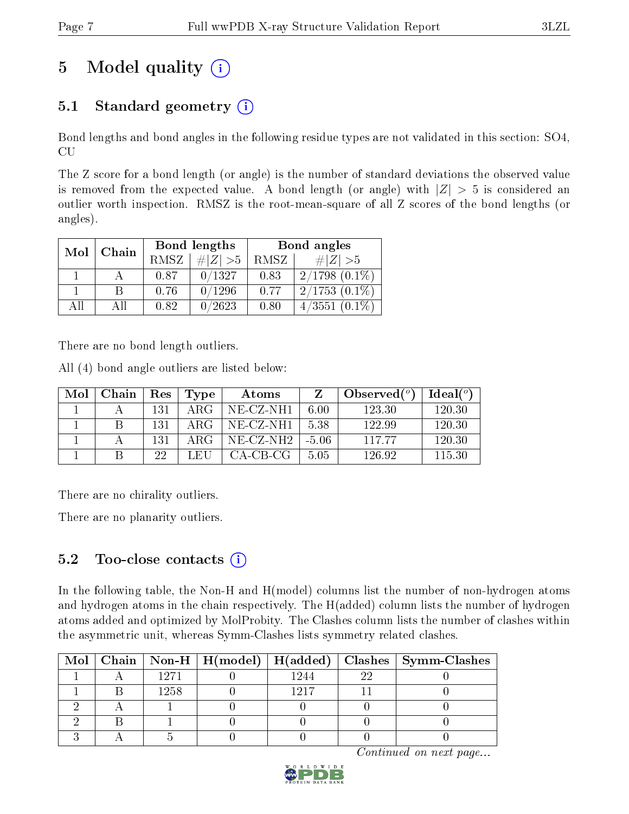# 5 Model quality  $(i)$

### 5.1 Standard geometry  $(i)$

Bond lengths and bond angles in the following residue types are not validated in this section: SO4, CU

The Z score for a bond length (or angle) is the number of standard deviations the observed value is removed from the expected value. A bond length (or angle) with  $|Z| > 5$  is considered an outlier worth inspection. RMSZ is the root-mean-square of all Z scores of the bond lengths (or angles).

| Mol | Chain |             | Bond lengths | Bond angles |                    |  |
|-----|-------|-------------|--------------|-------------|--------------------|--|
|     |       | <b>RMSZ</b> | $\ Z\  > 5$  | RMSZ        | $\# Z  > 5$        |  |
|     |       | 0.87        | 0/1327       | 0.83        | $2/1798$ $(0.1\%)$ |  |
|     | R     | 0.76        | 0/1296       | 0.77        | $2/1753(0.1\%)$    |  |
| ΔH  | ΑH    | 0.82        | 0/2623       | 0.80        | $4/3551(0.1\%)$    |  |

There are no bond length outliers.

All (4) bond angle outliers are listed below:

| Mol | Chain | $\operatorname{Res}$ | Type | Atoms        | Z       | Observed $(°)$ | Ideal <sup>o</sup> |
|-----|-------|----------------------|------|--------------|---------|----------------|--------------------|
|     |       | 131                  | ARG  | $NE- CZ-NH1$ | 6.00    | 123.30         | 120.30             |
|     |       | 131                  | ARG  | NE-CZ-NH1    | 5.38    | 122.99         | 120.30             |
|     |       | 131                  | ARG  | $NE$ -CZ-NH2 | $-5.06$ | 11777          | 120.30             |
|     |       | 22                   | LEH  | CA-CB-CG     | 5.05    | 126.92         | 115.30             |

There are no chirality outliers.

There are no planarity outliers.

### 5.2 Too-close contacts  $(i)$

In the following table, the Non-H and H(model) columns list the number of non-hydrogen atoms and hydrogen atoms in the chain respectively. The H(added) column lists the number of hydrogen atoms added and optimized by MolProbity. The Clashes column lists the number of clashes within the asymmetric unit, whereas Symm-Clashes lists symmetry related clashes.

|  |      |      |    | Mol   Chain   Non-H   H(model)   H(added)   Clashes   Symm-Clashes |
|--|------|------|----|--------------------------------------------------------------------|
|  | 1271 | 1244 | າງ |                                                                    |
|  | 1258 | 1917 |    |                                                                    |
|  |      |      |    |                                                                    |
|  |      |      |    |                                                                    |
|  |      |      |    |                                                                    |

Continued on next page...

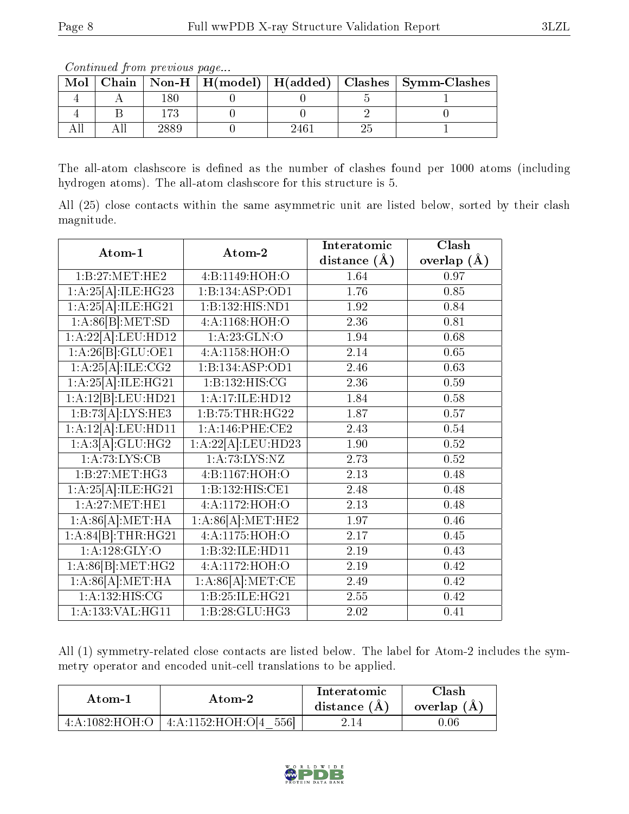Continued from previous page...

| Mol |  |  | Chain   Non-H   H(model)   H(added)   Clashes   Symm-Clashes |
|-----|--|--|--------------------------------------------------------------|
|     |  |  |                                                              |
|     |  |  |                                                              |
|     |  |  |                                                              |

The all-atom clashscore is defined as the number of clashes found per 1000 atoms (including hydrogen atoms). The all-atom clashscore for this structure is 5.

All (25) close contacts within the same asymmetric unit are listed below, sorted by their clash magnitude.

| Atom-1                        | Atom-2                               | Interatomic      | Clash           |
|-------------------------------|--------------------------------------|------------------|-----------------|
|                               |                                      | distance $(\AA)$ | overlap $(\AA)$ |
| 1:B:27:MET:HE2                | 4:B:1149:HOH:O                       | 1.64             | 0.97            |
| 1:A:25[A]:ILE:HG23            | 1:B:134:ASP:OD1                      | 1.76             | 0.85            |
| 1:A:25[A]:ILE:HG21            | 1:B:132:HIS:ND1                      | 1.92             | 0.84            |
| 1:A:86[B]:MET:SD              | 4:A:1168:HOH:O                       | 2.36             | 0.81            |
| 1:A:22[A]:LEU:HD12            | 1:A:23:GLN:O                         | 1.94             | 0.68            |
| 1:A:26[B]:GLU:OE1             | 4:A:1158:HOH:O                       | 2.14             | 0.65            |
| 1:A:25[A]:ILE:CG2             | $1:B:134: \overline{\text{ASP:OD1}}$ | 2.46             | 0.63            |
| 1:A:25[A]:ILE:HG21            | 1:B:132:HIS:CG                       | 2.36             | 0.59            |
| 1:A:12[B]:LEU:HD21            | 1:A:17:ILE:HD12                      | 1.84             | 0.58            |
| 1:B:73[A]:LYS:HE3             | 1:B:75:THR:HG22                      | 1.87             | 0.57            |
| 1:A:12[A].LEU:HD11            | $1: A:146:$ PHE:CE2                  | 2.43             | 0.54            |
| 1:A:3[A]:GLU:HG2              | 1:A:22[A]:LEU:HD23                   | 1.90             | 0.52            |
| 1:A:73:LYS:CB                 | 1: A:73: LYS: NZ                     | 2.73             | 0.52            |
| 1: B:27: MET:HG3              | 4:B:1167:HOH:O                       | 2.13             | 0.48            |
| 1:A:25[A]:ILE:HG21            | 1:B:132:HIS:CE1                      | 2.48             | 0.48            |
| 1: A:27: MET:HE1              | 4:A:1172:HOH:O                       | 2.13             | 0.48            |
| 1:A:86[A]:MET:HA              | 1:A:86[A]:MET:HE2                    | 1.97             | 0.46            |
| 1:A:84[B]:THR:HG21            | 4: A: 1175: HOH: O                   | 2.17             | 0.45            |
| 1: A:128: GLY:O               | 1:B:32:ILE:HD11                      | 2.19             | 0.43            |
| 1:A:86[B]:MET:HG2             | 4:A:1172:HOH:O                       | 2.19             | 0.42            |
| 1:A:86[A]:MET:HA              | 1:A:86[A]:MET:CE                     | 2.49             | 0.42            |
| 1: A:132:HIS:CG               | 1:B:25:ILE:HG21                      | 2.55             | 0.42            |
| $1:A:133:VAL:H\overline{G11}$ | 1:B:28:GLU:HG3                       | 2.02             | 0.41            |

All (1) symmetry-related close contacts are listed below. The label for Atom-2 includes the symmetry operator and encoded unit-cell translations to be applied.

| Atom-1         |                                                       | Interatomic    | Clash         |
|----------------|-------------------------------------------------------|----------------|---------------|
| Atom-2         |                                                       | distance $(A)$ | overlap $(A)$ |
| 4:A:1082:HOH:O | 5561<br>$4:\mathrm{A}:1152:\mathrm{HOH}:\mathrm{OI4}$ | z. 14 -        | 0.06          |

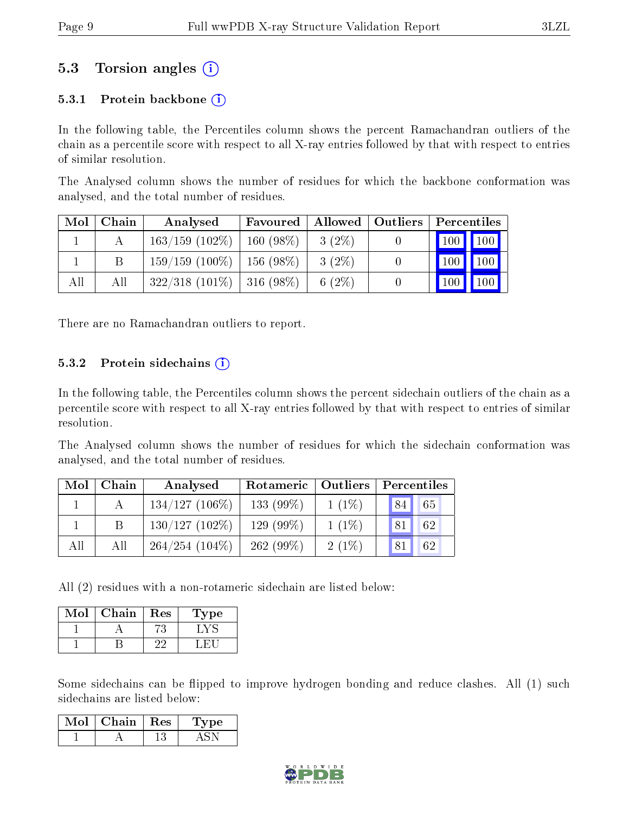### 5.3 Torsion angles (i)

### 5.3.1 Protein backbone  $(i)$

In the following table, the Percentiles column shows the percent Ramachandran outliers of the chain as a percentile score with respect to all X-ray entries followed by that with respect to entries of similar resolution.

The Analysed column shows the number of residues for which the backbone conformation was analysed, and the total number of residues.

| Mol | Chain | Analysed                           | Favoured   Allowed   Outliers |          | Percentiles                        |
|-----|-------|------------------------------------|-------------------------------|----------|------------------------------------|
|     |       | $163/159$ $(102\%)$   160 $(98\%)$ |                               | $3(2\%)$ | $\vert$ 100 $\vert$ 100 $\vert$    |
|     |       | $159/159$ (100\%)   156 (98\%)     |                               | $3(2\%)$ | $\vert$ 100 $\vert$ 100 $\vert$    |
| All | All   | $322/318$ (101\%)   316 (98\%)     |                               | $6(2\%)$ | $\vert$ 100<br>$\vert$ 100 $\vert$ |

There are no Ramachandran outliers to report.

#### 5.3.2 Protein sidechains  $(i)$

In the following table, the Percentiles column shows the percent sidechain outliers of the chain as a percentile score with respect to all X-ray entries followed by that with respect to entries of similar resolution.

The Analysed column shows the number of residues for which the sidechain conformation was analysed, and the total number of residues.

| Mol | Chain | Analysed          | Rotameric   Outliers |          | Percentiles |  |  |
|-----|-------|-------------------|----------------------|----------|-------------|--|--|
|     |       | $134/127$ (106\%) | $133(99\%)$          | $1(1\%)$ | 65<br>84    |  |  |
|     |       | $130/127(102\%)$  | 129 (99%)            | $1(1\%)$ | 62<br>81    |  |  |
| All | All   | $264/254(104\%)$  | 262(99%)             | 2(1%)    | 81<br>62    |  |  |

All (2) residues with a non-rotameric sidechain are listed below:

| Mol | Chain | Res | Type |
|-----|-------|-----|------|
|     |       |     |      |
|     |       |     |      |

Some sidechains can be flipped to improve hydrogen bonding and reduce clashes. All (1) such sidechains are listed below:

| Mol | Chain | $+$ Res $+$ | vpe |
|-----|-------|-------------|-----|
|     |       |             |     |

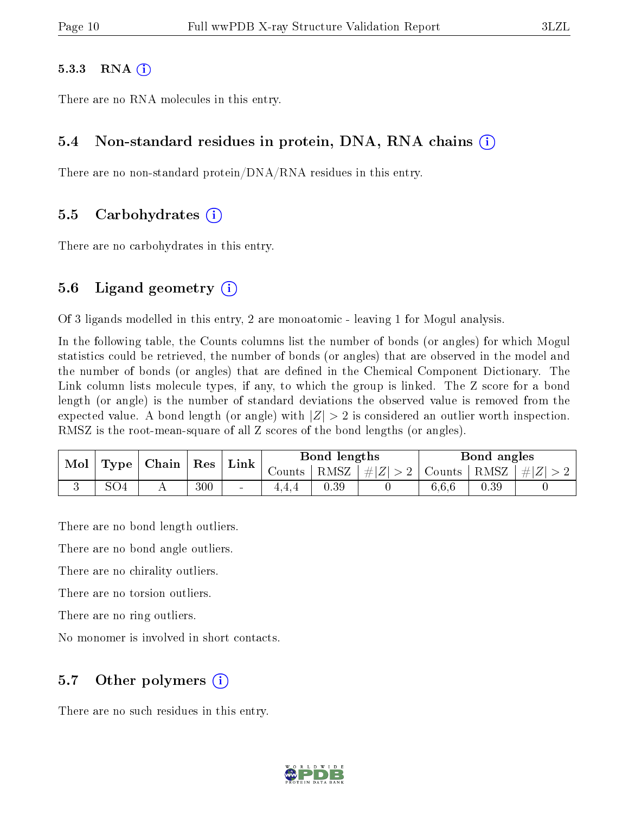#### 5.3.3 RNA  $(i)$

There are no RNA molecules in this entry.

#### 5.4 Non-standard residues in protein, DNA, RNA chains (i)

There are no non-standard protein/DNA/RNA residues in this entry.

#### 5.5 Carbohydrates (i)

There are no carbohydrates in this entry.

#### 5.6 Ligand geometry  $(i)$

Of 3 ligands modelled in this entry, 2 are monoatomic - leaving 1 for Mogul analysis.

In the following table, the Counts columns list the number of bonds (or angles) for which Mogul statistics could be retrieved, the number of bonds (or angles) that are observed in the model and the number of bonds (or angles) that are defined in the Chemical Component Dictionary. The Link column lists molecule types, if any, to which the group is linked. The Z score for a bond length (or angle) is the number of standard deviations the observed value is removed from the expected value. A bond length (or angle) with  $|Z| > 2$  is considered an outlier worth inspection. RMSZ is the root-mean-square of all Z scores of the bond lengths (or angles).

| Mol |                 |                                            |     | Link   |          | Bond lengths |                                      |       | Bond angles |                |
|-----|-----------------|--------------------------------------------|-----|--------|----------|--------------|--------------------------------------|-------|-------------|----------------|
|     |                 | $\mid$ Type $\mid$ Chain $\mid$ Res $\mid$ |     |        | Counts ' |              | $ RMSZ $ $\# Z  > 2$   Counts   RMSZ |       |             | $\vert \#  Z $ |
|     | SO <sub>4</sub> |                                            | 300 | $\sim$ |          | 0.39         |                                      | 6,6,6 | $0.39\,$    |                |

There are no bond length outliers.

There are no bond angle outliers.

There are no chirality outliers.

There are no torsion outliers.

There are no ring outliers.

No monomer is involved in short contacts.

### 5.7 [O](https://www.wwpdb.org/validation/2017/XrayValidationReportHelp#nonstandard_residues_and_ligands)ther polymers (i)

There are no such residues in this entry.

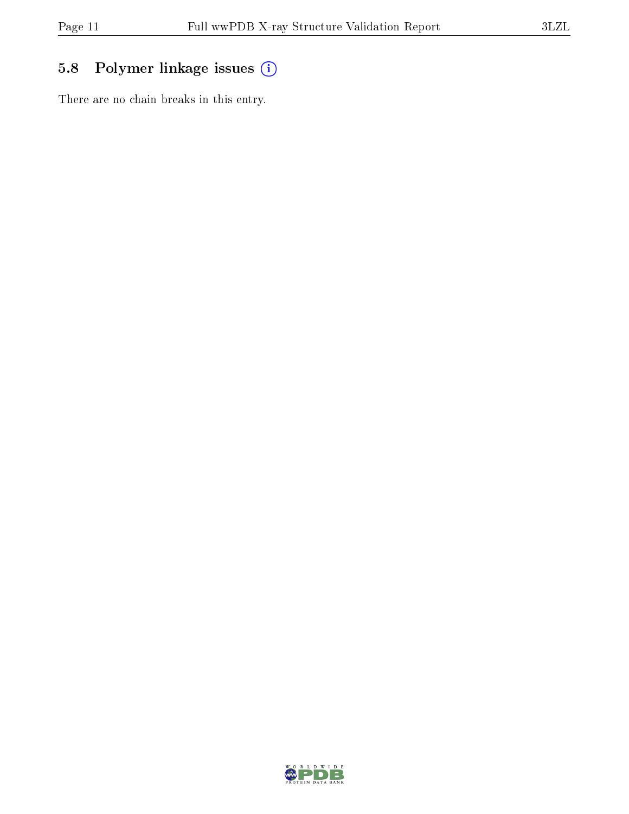# 5.8 Polymer linkage issues (i)

There are no chain breaks in this entry.

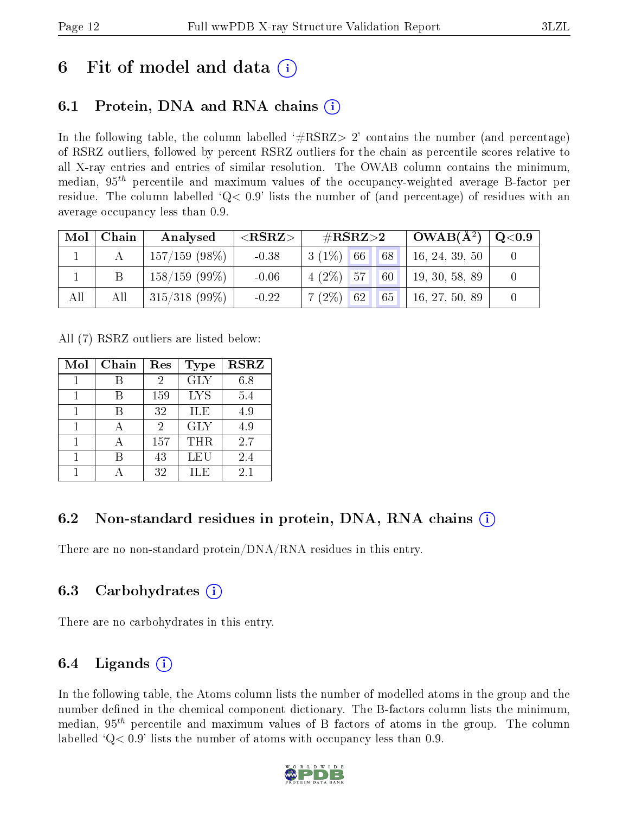# 6 Fit of model and data  $\left( \cdot \right)$

# 6.1 Protein, DNA and RNA chains (i)

In the following table, the column labelled  $#RSRZ>2'$  contains the number (and percentage) of RSRZ outliers, followed by percent RSRZ outliers for the chain as percentile scores relative to all X-ray entries and entries of similar resolution. The OWAB column contains the minimum, median,  $95<sup>th</sup>$  percentile and maximum values of the occupancy-weighted average B-factor per residue. The column labelled  $Q < 0.9$  lists the number of (and percentage) of residues with an average occupancy less than 0.9.

|     | $Mol$   Chain | Analysed         | ${ <\hspace{-1.5pt}{\mathrm{RSRZ}} \hspace{-1.5pt}>}$ | $\#\text{RSRZ}{>}2$            | $\perp$ OWAB( $\rm \AA^2) \perp$ | $^+$ Q<0.9 |
|-----|---------------|------------------|-------------------------------------------------------|--------------------------------|----------------------------------|------------|
|     |               | $157/159$ (98\%) | $-0.38$                                               | $3(1\%)$ 66<br>68              | 16, 24, 39, 50                   |            |
|     |               | $158/159(99\%)$  | $-0.06$                                               | $4(2\%)$ 57<br>60 <sup>1</sup> | 19, 30, 58, 89                   |            |
| All | All           | $315/318$ (99\%) | $-0.22$                                               | $7(2\%)$ 62<br> 65             | 16, 27, 50, 89                   |            |

All (7) RSRZ outliers are listed below:

| Mol | Chain | Res | <b>Type</b> | <b>RSRZ</b> |
|-----|-------|-----|-------------|-------------|
|     |       | 2   | <b>GLY</b>  | 6.8         |
|     |       | 159 | <b>LYS</b>  | 5.4         |
|     |       | 32  | ILE         | 4.9         |
| 1   |       | 2   | <b>GLY</b>  | 4.9         |
|     |       | 157 | <b>THR</b>  | 2.7         |
|     |       | 43  | LEU         | 2.4         |
|     |       | 32  | ILE         | 2.1         |

### 6.2 Non-standard residues in protein, DNA, RNA chains (i)

There are no non-standard protein/DNA/RNA residues in this entry.

### 6.3 Carbohydrates (i)

There are no carbohydrates in this entry.

### 6.4 Ligands  $(i)$

In the following table, the Atoms column lists the number of modelled atoms in the group and the number defined in the chemical component dictionary. The B-factors column lists the minimum, median,  $95<sup>th</sup>$  percentile and maximum values of B factors of atoms in the group. The column labelled  $Q< 0.9$ ' lists the number of atoms with occupancy less than 0.9.